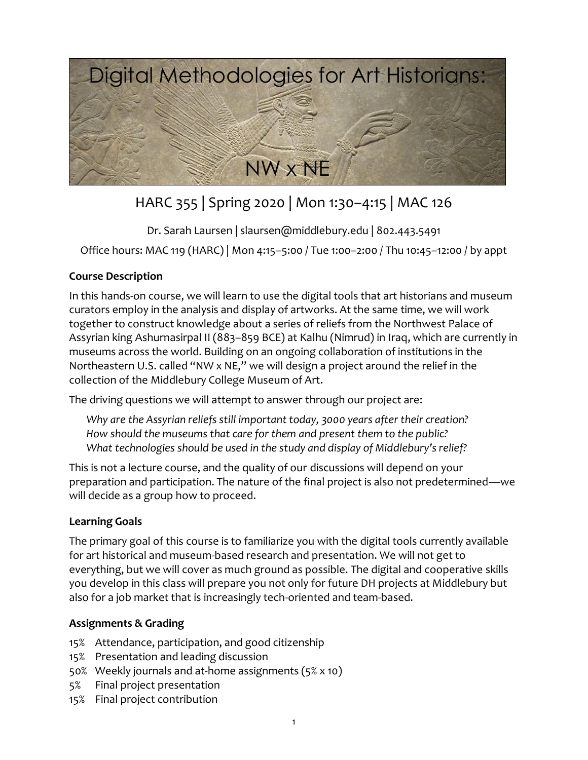

# HARC 355 | Spring 2020 | Mon 1:30–4:15 | MAC 126

Dr. Sarah Laursen | slaursen@middlebury.edu | 802.443.5491

Office hours: MAC 119 (HARC) | Mon 4:15–5:00 / Tue 1:00–2:00 / Thu 10:45–12:00 / by appt

## **Course Description**

In this hands-on course, we will learn to use the digital tools that art historians and museum curators employ in the analysis and display of artworks. At the same time, we will work together to construct knowledge about a series of reliefs from the Northwest Palace of Assyrian king Ashurnasirpal II (883–859 BCE) at Kalhu (Nimrud) in Iraq, which are currently in museums across the world. Building on an ongoing collaboration of institutions in the Northeastern U.S. called "NW x NE," we will design a project around the relief in the collection of the Middlebury College Museum of Art.

The driving questions we will attempt to answer through our project are:

*Why are the Assyrian reliefs still important today, 3000 years after their creation? How should the museums that care for them and present them to the public? What technologies should be used in the study and display of Middlebury's relief?*

This is not a lecture course, and the quality of our discussions will depend on your preparation and participation. The nature of the final project is also not predetermined—we will decide as a group how to proceed.

## **Learning Goals**

The primary goal of this course is to familiarize you with the digital tools currently available for art historical and museum-based research and presentation. We will not get to everything, but we will cover as much ground as possible. The digital and cooperative skills you develop in this class will prepare you not only for future DH projects at Middlebury but also for a job market that is increasingly tech-oriented and team-based.

## **Assignments & Grading**

- 15% Attendance, participation, and good citizenship
- 15% Presentation and leading discussion
- 50% Weekly journals and at-home assignments (5% x 10)
- 5% Final project presentation
- 15% Final project contribution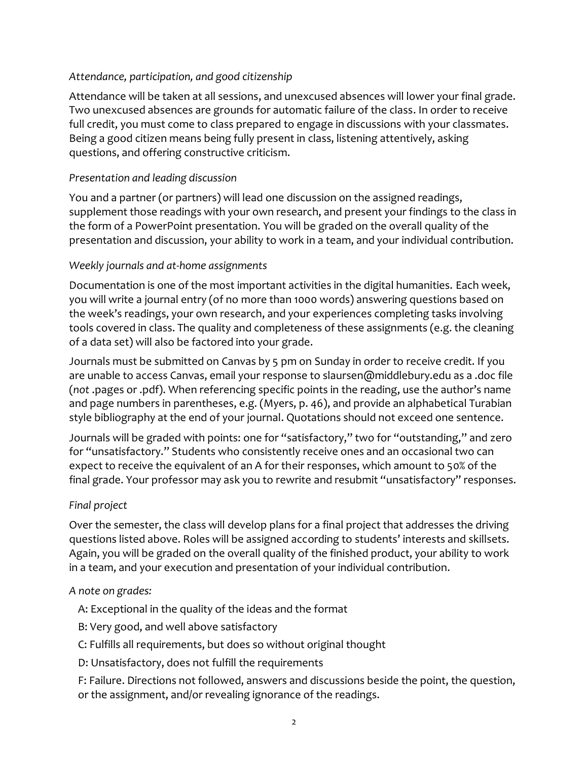## *Attendance, participation, and good citizenship*

Attendance will be taken at all sessions, and unexcused absences will lower your final grade. Two unexcused absences are grounds for automatic failure of the class. In order to receive full credit, you must come to class prepared to engage in discussions with your classmates. Being a good citizen means being fully present in class, listening attentively, asking questions, and offering constructive criticism.

## *Presentation and leading discussion*

You and a partner (or partners) will lead one discussion on the assigned readings, supplement those readings with your own research, and present your findings to the class in the form of a PowerPoint presentation. You will be graded on the overall quality of the presentation and discussion, your ability to work in a team, and your individual contribution.

## *Weekly journals and at-home assignments*

Documentation is one of the most important activities in the digital humanities. Each week, you will write a journal entry (of no more than 1000 words) answering questions based on the week's readings, your own research, and your experiences completing tasks involving tools covered in class. The quality and completeness of these assignments (e.g. the cleaning of a data set) will also be factored into your grade.

Journals must be submitted on Canvas by 5 pm on Sunday in order to receive credit. If you are unable to access Canvas, email your response to slaursen@middlebury.edu as a .doc file (*not* .pages or .pdf). When referencing specific points in the reading, use the author's name and page numbers in parentheses, e.g. (Myers, p. 46), and provide an alphabetical Turabian style bibliography at the end of your journal. Quotations should not exceed one sentence.

Journals will be graded with points: one for "satisfactory," two for "outstanding," and zero for "unsatisfactory." Students who consistently receive ones and an occasional two can expect to receive the equivalent of an A for their responses, which amount to 50% of the final grade. Your professor may ask you to rewrite and resubmit "unsatisfactory" responses.

#### *Final project*

Over the semester, the class will develop plans for a final project that addresses the driving questions listed above. Roles will be assigned according to students' interests and skillsets. Again, you will be graded on the overall quality of the finished product, your ability to work in a team, and your execution and presentation of your individual contribution.

#### *A note on grades:*

- A: Exceptional in the quality of the ideas and the format
- B: Very good, and well above satisfactory
- C: Fulfills all requirements, but does so without original thought
- D: Unsatisfactory, does not fulfill the requirements
- F: Failure. Directions not followed, answers and discussions beside the point, the question, or the assignment, and/or revealing ignorance of the readings.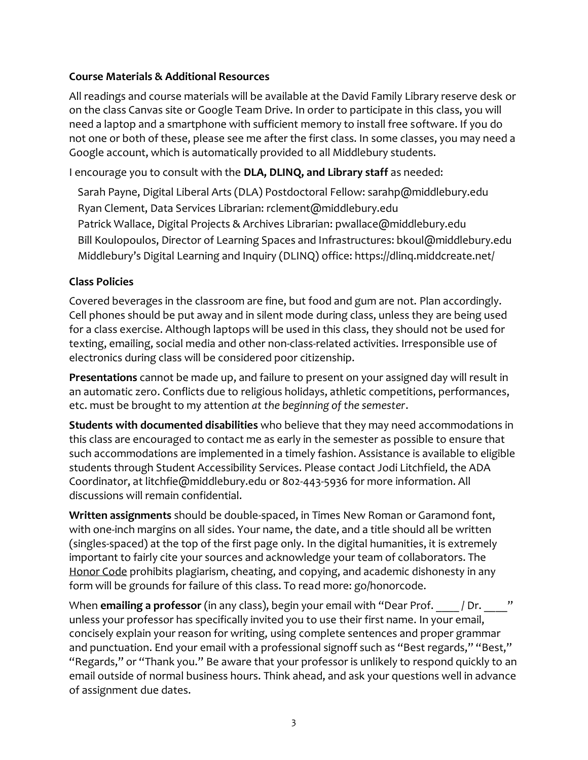### **Course Materials & Additional Resources**

All readings and course materials will be available at the David Family Library reserve desk or on the class Canvas site or Google Team Drive. In order to participate in this class, you will need a laptop and a smartphone with sufficient memory to install free software. If you do not one or both of these, please see me after the first class. In some classes, you may need a Google account, which is automatically provided to all Middlebury students.

I encourage you to consult with the **DLA, DLINQ, and Library staff** as needed:

Sarah Payne, Digital Liberal Arts (DLA) Postdoctoral Fellow: sarahp@middlebury.edu Ryan Clement, Data Services Librarian: rclement@middlebury.edu Patrick Wallace, Digital Projects & Archives Librarian: pwallace@middlebury.edu Bill Koulopoulos, Director of Learning Spaces and Infrastructures: bkoul@middlebury.edu Middlebury's Digital Learning and Inquiry (DLINQ) office: https://dlinq.middcreate.net/

## **Class Policies**

Covered beverages in the classroom are fine, but food and gum are not. Plan accordingly. Cell phones should be put away and in silent mode during class, unless they are being used for a class exercise. Although laptops will be used in this class, they should not be used for texting, emailing, social media and other non-class-related activities. Irresponsible use of electronics during class will be considered poor citizenship.

**Presentations** cannot be made up, and failure to present on your assigned day will result in an automatic zero. Conflicts due to religious holidays, athletic competitions, performances, etc. must be brought to my attention *at the beginning of the semester*.

**Students with documented disabilities** who believe that they may need accommodations in this class are encouraged to contact me as early in the semester as possible to ensure that such accommodations are implemented in a timely fashion. Assistance is available to eligible students through Student Accessibility Services. Please contact Jodi Litchfield, the ADA Coordinator, at litchfie@middlebury.edu or 802-443-5936 for more information. All discussions will remain confidential.

**Written assignments** should be double-spaced, in Times New Roman or Garamond font, with one-inch margins on all sides. Your name, the date, and a title should all be written (singles-spaced) at the top of the first page only. In the digital humanities, it is extremely important to fairly cite your sources and acknowledge your team of collaborators. The Honor Code prohibits plagiarism, cheating, and copying, and academic dishonesty in any form will be grounds for failure of this class. To read more: go/honorcode.

When **emailing a professor** (in any class), begin your email with "Dear Prof. | | Dr. | " unless your professor has specifically invited you to use their first name. In your email, concisely explain your reason for writing, using complete sentences and proper grammar and punctuation. End your email with a professional signoff such as "Best regards," "Best," "Regards," or "Thank you." Be aware that your professor is unlikely to respond quickly to an email outside of normal business hours. Think ahead, and ask your questions well in advance of assignment due dates.